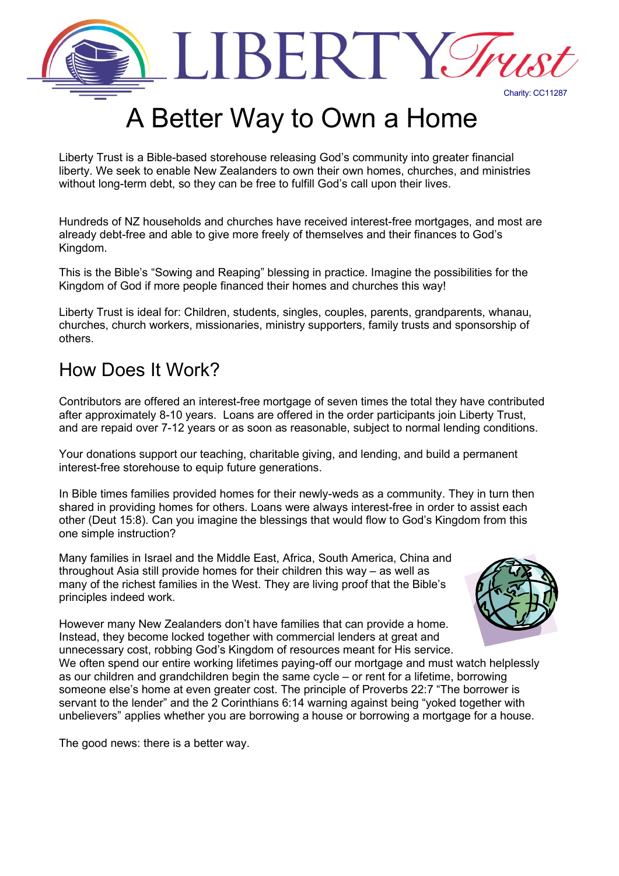

# A Better Way to Own a Home

Liberty Trust is a [Bible-based](https://sites.google.com/a/libertytrust.org.nz/liberty-trust/bible-study) storehouse releasing God's community into greater financial liberty. We seek to enable New Zealanders to own their own homes, churches, and ministries without long-term debt, so they can be free to fulfill God's call upon their lives.

Hundreds of NZ households and churches have received interest-free mortgages, and most are already debt-free and able to give more freely of themselves and their finances to God's Kingdom.

This is the Bible's "Sowing and Reaping" blessing in practice. Imagine the possibilities for the Kingdom of God if more people financed their homes and churches this way!

Liberty Trust is ideal for: Children, students, singles, couples, parents, grandparents, whanau, churches, church workers, missionaries, ministry supporters, family trusts and sponsorship of others.

#### How Does It Work?

Contributors are offered an interest-free mortgage of seven times the total they have contributed after approximately 8-10 years. Loans are offered in the order participants join Liberty Trust, and are repaid over 7-12 years or as soon as reasonable, subject to normal lending conditions.

Your donations support our teaching, charitable giving, and lending, and build a permanent interest-free storehouse to equip future generations.

In Bible times families provided homes for their newly-weds as a community. They in turn then shared in providing homes for others. Loans were always interest-free in order to assist each other (Deut 15:8). Can you imagine the blessings that would flow to God's Kingdom from this one simple instruction?

Many families in Israel and the Middle East, Africa, South America, China and throughout Asia still provide homes for their children this way – as well as many of the richest families in the West. They are living proof that the Bible's principles indeed work.



However many New Zealanders don't have families that can provide a home. Instead, they become locked together with commercial lenders at great and unnecessary cost, robbing God's Kingdom of resources meant for His service.

We often spend our entire working lifetimes paying-off our mortgage and must watch helplessly as our children and grandchildren begin the same cycle – or rent for a lifetime, borrowing someone else's home at even greater cost. The principle of Proverbs 22:7 "The borrower is servant to the lender" and the 2 Corinthians 6:14 warning against being "yoked together with unbelievers" applies whether you are borrowing a house or borrowing a mortgage for a house.

The good news: there is a better way.